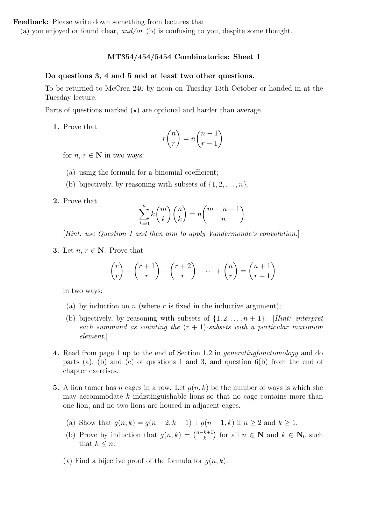(a) you enjoyed or found clear, and/or (b) is confusing to you, despite some thought.

## MT354/454/5454 Combinatorics: Sheet 1

#### Do questions 3, 4 and 5 and at least two other questions.

To be returned to McCrea 240 by noon on Tuesday 13th October or handed in at the Tuesday lecture.

Parts of questions marked  $(\star)$  are optional and harder than average.

1. Prove that

$$
r\binom{n}{r} = n\binom{n-1}{r-1}
$$

for  $n, r \in \mathbb{N}$  in two ways:

- (a) using the formula for a binomial coefficient;
- (b) bijectively, by reasoning with subsets of  $\{1, 2, \ldots, n\}$ .
- 2. Prove that

$$
\sum_{k=0}^{n} k \binom{m}{k} \binom{n}{k} = n \binom{m+n-1}{n}.
$$

[Hint: use Question 1 and then aim to apply Vandermonde's convolution.]

3. Let  $n, r \in \mathbb{N}$ . Prove that

$$
\binom{r}{r} + \binom{r+1}{r} + \binom{r+2}{r} + \dots + \binom{n}{r} = \binom{n+1}{r+1}
$$

in two ways:

- (a) by induction on n (where r is fixed in the inductive argument);
- (b) bijectively, by reasoning with subsets of  $\{1, 2, \ldots, n+1\}$ . [Hint: interpret] each summand as counting the  $(r + 1)$ -subsets with a particular maximum element.]
- 4. Read from page 1 up to the end of Section 1.2 in generatingfunctionology and do parts (a), (b) and (c) of questions 1 and 3, and question  $6(b)$  from the end of chapter exercises.
- 5. A lion tamer has n cages in a row. Let  $q(n, k)$  be the number of ways is which she may accommodate  $k$  indistinguishable lions so that no cage contains more than one lion, and no two lions are housed in adjacent cages.
	- (a) Show that  $q(n, k) = q(n 2, k 1) + q(n 1, k)$  if  $n \ge 2$  and  $k \ge 1$ .
	- (b) Prove by induction that  $g(n, k) = \binom{n-k+1}{k}$  for all  $n \in \mathbb{N}$  and  $k \in \mathbb{N}_0$  such that  $k \leq n$ .
	- $(\star)$  Find a bijective proof of the formula for  $q(n, k)$ .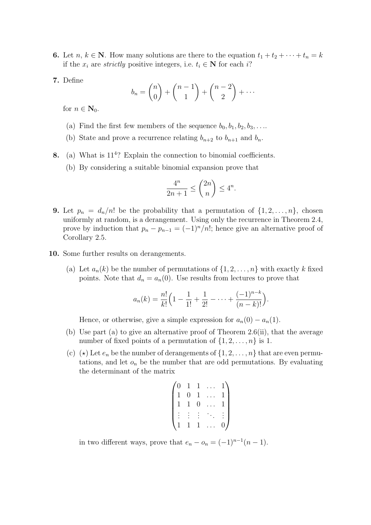- **6.** Let  $n, k \in \mathbb{N}$ . How many solutions are there to the equation  $t_1 + t_2 + \cdots + t_n = k$ if the  $x_i$  are *strictly* positive integers, i.e.  $t_i \in \mathbb{N}$  for each i?
- 7. Define

$$
b_n = \binom{n}{0} + \binom{n-1}{1} + \binom{n-2}{2} + \cdots
$$

for  $n \in \mathbf{N}_0$ .

- (a) Find the first few members of the sequence  $b_0, b_1, b_2, b_3, \ldots$
- (b) State and prove a recurrence relating  $b_{n+2}$  to  $b_{n+1}$  and  $b_n$ .
- 8. (a) What is  $11<sup>4</sup>$ ? Explain the connection to binomial coefficients.
	- (b) By considering a suitable binomial expansion prove that

$$
\frac{4^n}{2n+1} \le \binom{2n}{n} \le 4^n.
$$

- **9.** Let  $p_n = d_n/n!$  be the probability that a permutation of  $\{1, 2, \ldots, n\}$ , chosen uniformly at random, is a derangement. Using only the recurrence in Theorem 2.4, prove by induction that  $p_n - p_{n-1} = (-1)^n/n!$ ; hence give an alternative proof of Corollary 2.5.
- 10. Some further results on derangements.
	- (a) Let  $a_n(k)$  be the number of permutations of  $\{1, 2, \ldots, n\}$  with exactly k fixed points. Note that  $d_n = a_n(0)$ . Use results from lectures to prove that

$$
a_n(k) = \frac{n!}{k!} \left( 1 - \frac{1}{1!} + \frac{1}{2!} - \dots + \frac{(-1)^{n-k}}{(n-k)!} \right).
$$

Hence, or otherwise, give a simple expression for  $a_n(0) - a_n(1)$ .

- (b) Use part (a) to give an alternative proof of Theorem 2.6(ii), that the average number of fixed points of a permutation of  $\{1, 2, \ldots, n\}$  is 1.
- (c) ( $\star$ ) Let  $e_n$  be the number of derangements of  $\{1, 2, \ldots, n\}$  that are even permutations, and let  $o_n$  be the number that are odd permutations. By evaluating the determinant of the matrix

$$
\begin{pmatrix} 0 & 1 & 1 & \dots & 1 \\ 1 & 0 & 1 & \dots & 1 \\ 1 & 1 & 0 & \dots & 1 \\ \vdots & \vdots & \vdots & \ddots & \vdots \\ 1 & 1 & 1 & \dots & 0 \end{pmatrix}
$$

in two different ways, prove that  $e_n - o_n = (-1)^{n-1}(n-1)$ .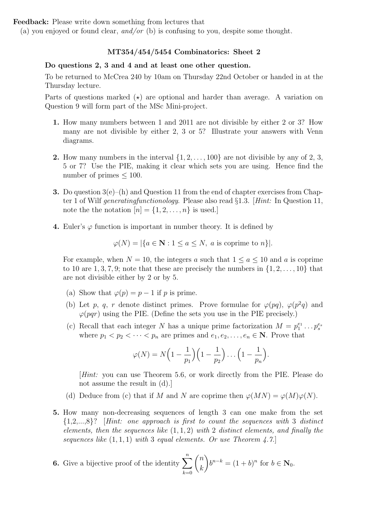(a) you enjoyed or found clear, and/or (b) is confusing to you, despite some thought.

## MT354/454/5454 Combinatorics: Sheet 2

#### Do questions 2, 3 and 4 and at least one other question.

To be returned to McCrea 240 by 10am on Thursday 22nd October or handed in at the Thursday lecture.

Parts of questions marked  $(\star)$  are optional and harder than average. A variation on Question 9 will form part of the MSc Mini-project.

- 1. How many numbers between 1 and 2011 are not divisible by either 2 or 3? How many are not divisible by either 2, 3 or 5? Illustrate your answers with Venn diagrams.
- **2.** How many numbers in the interval  $\{1, 2, \ldots, 100\}$  are not divisible by any of 2, 3, 5 or 7? Use the PIE, making it clear which sets you are using. Hence find the number of primes  $\leq 100$ .
- **3.** Do question  $3(e)$ –(h) and Question 11 from the end of chapter exercises from Chapter 1 of Wilf generatingfunctionology. Please also read §1.3. [Hint: In Question 11, note the the notation  $[n] = \{1, 2, \ldots, n\}$  is used.]
- 4. Euler's  $\varphi$  function is important in number theory. It is defined by

$$
\varphi(N) = |\{a \in \mathbf{N} : 1 \le a \le N, \ a \text{ is coprime to } n\}|.
$$

For example, when  $N = 10$ , the integers a such that  $1 \le a \le 10$  and a is coprime to 10 are  $1, 3, 7, 9$ ; note that these are precisely the numbers in  $\{1, 2, \ldots, 10\}$  that are not divisible either by 2 or by 5.

- (a) Show that  $\varphi(p) = p 1$  if p is prime.
- (b) Let p, q, r denote distinct primes. Prove formulae for  $\varphi(pq)$ ,  $\varphi(p^2q)$  and  $\varphi(pqr)$  using the PIE. (Define the sets you use in the PIE precisely.)
- (c) Recall that each integer N has a unique prime factorization  $M = p_1^{e_1} \dots p_s^{e_s}$ where  $p_1 < p_2 < \cdots < p_n$  are primes and  $e_1, e_2, \ldots, e_n \in \mathbb{N}$ . Prove that

$$
\varphi(N) = N\left(1 - \frac{1}{p_1}\right)\left(1 - \frac{1}{p_2}\right)\dots\left(1 - \frac{1}{p_n}\right).
$$

[Hint: you can use Theorem 5.6, or work directly from the PIE. Please do not assume the result in (d).]

- (d) Deduce from (c) that if M and N are coprime then  $\varphi(MN) = \varphi(M)\varphi(N)$ .
- 5. How many non-decreasing sequences of length 3 can one make from the set  ${1,2,...,8}$ ? [Hint: one approach is first to count the sequences with 3 distinct elements, then the sequences like  $(1, 1, 2)$  with 2 distinct elements, and finally the sequences like  $(1,1,1)$  with 3 equal elements. Or use Theorem 4.7.

**6.** Give a bijective proof of the identity 
$$
\sum_{k=0}^{n} \binom{n}{k} b^{n-k} = (1+b)^n
$$
 for  $b \in \mathbb{N}_0$ .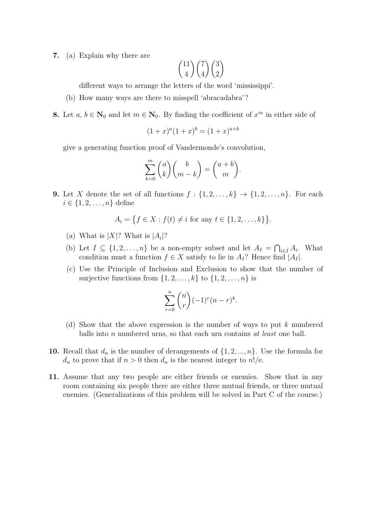7. (a) Explain why there are

$$
\binom{11}{4}\binom{7}{4}\binom{3}{2}
$$

different ways to arrange the letters of the word 'mississippi'.

- (b) How many ways are there to misspell 'abracadabra'?
- **8.** Let  $a, b \in \mathbb{N}_0$  and let  $m \in \mathbb{N}_0$ . By finding the coefficient of  $x^m$  in either side of

$$
(1+x)^a (1+x)^b = (1+x)^{a+b}
$$

give a generating function proof of Vandermonde's convolution,

$$
\sum_{k=0}^{m} \binom{a}{k} \binom{b}{m-k} = \binom{a+b}{m}.
$$

9. Let X denote the set of all functions  $f: \{1, 2, \ldots, k\} \rightarrow \{1, 2, \ldots, n\}$ . For each  $i \in \{1, 2, ..., n\}$  define

$$
A_i = \{ f \in X : f(t) \neq i \text{ for any } t \in \{1, 2, ..., k\} \}.
$$

- (a) What is  $|X|$ ? What is  $|A_i|$ ?
- (b) Let  $I \subseteq \{1, 2, ..., n\}$  be a non-empty subset and let  $A_I = \bigcap_{i \in I} A_i$ . What condition must a function  $f \in X$  satisfy to lie in  $A_I$ ? Hence find  $|A_I|$ .
- (c) Use the Principle of Inclusion and Exclusion to show that the number of surjective functions from  $\{1, 2, \ldots, k\}$  to  $\{1, 2, \ldots, n\}$  is

$$
\sum_{r=0}^{n} \binom{n}{r} (-1)^r (n-r)^k.
$$

- (d) Show that the above expression is the number of ways to put  $k$  numbered balls into  $n$  numbered urns, so that each urn contains  $at$  least one ball.
- 10. Recall that  $d_n$  is the number of derangements of  $\{1, 2, ..., n\}$ . Use the formula for  $d_n$  to prove that if  $n > 0$  then  $d_n$  is the nearest integer to  $n!/e$ .
- 11. Assume that any two people are either friends or enemies. Show that in any room containing six people there are either three mutual friends, or three mutual enemies. (Generalizations of this problem will be solved in Part C of the course.)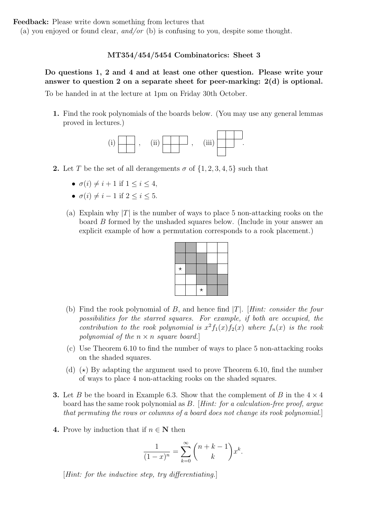(a) you enjoyed or found clear, and/or (b) is confusing to you, despite some thought.

## MT354/454/5454 Combinatorics: Sheet 3

Do questions 1, 2 and 4 and at least one other question. Please write your answer to question 2 on a separate sheet for peer-marking: 2(d) is optional. To be handed in at the lecture at 1pm on Friday 30th October. Do questions 1 and 2 and at least two other questions. To be nanded in at the lecture at 1 pm on Friday 36th October.

1. Find the rook polynomials of the boards below. (You may use any general lemmas proved in lectures.)



- 2. Let T be the set of all derangements  $\sigma$  of  $\{1, 2, 3, 4, 5\}$  such that
- $\sigma(i) \neq i + 1$  if  $1 \leq i \leq 4$ ,  $\sigma(i) \neq i+1$  if  $1 \leq i \leq 4$ 
	- $\sigma(i) \neq i 1$  if  $2 \leq i \leq 5$ .  $\begin{array}{ccc} (i) & i & = & -1 \\ (ii) & -1 & i & 1 \end{array}$  $\frac{1}{2}$   $\frac{1}{2}$  i  $\frac{1}{2}$  ii  $\frac{2}{3}$  i  $\frac{3}{2}$  i  $\frac{3}{2}$ .
	- (a) Explain why  $|T|$  is the number of ways to place 5 non-attacking rooks on the board  $B$  formed by the unshaded squares below. (Include in your answer an explicit example of how a permutation corresponds to a rook placement.)



- (b) Find the rook polynomial of B, and hence find  $|T|$ . [Hint: consider the four possibilities for the starred squares. For example, if both are occupied, the contribution to the rook polynomial is  $x^2f_1(x)f_2(x)$  where  $f_n(x)$  is the rook polynomial of the  $n \times n$  square board.]
- $(c)$  Use Theorem 6.10 to find the number of ways to place 5 non-attacking rooks on the shaded squares. on the shaded squares.
- $\alpha$  (b) By adapting the argument used to prove Theorem 0.10, this the mumber of ways to place 4 non-attacking rooks on the shaded squares. (d)  $(\star)$  By adapting the argument used to prove Theorem 6.10, find the number
- 3. Let B be the board in Example 6.3. Show that the complement of B in the  $4 \times 4$ board has the same rook polynomial as  $B$ . [Hint: for a calculation-free proof, argue that permuting the rows or columns of a board does not change its rook polynomial.]
- **4.** Prove by induction that if  $n \in \mathbb{N}$  then

$$
\frac{1}{(1-x)^n} = \sum_{k=0}^{\infty} {n+k-1 \choose k} x^k.
$$

 $[Hint: for the inductive step, try differentiating.]$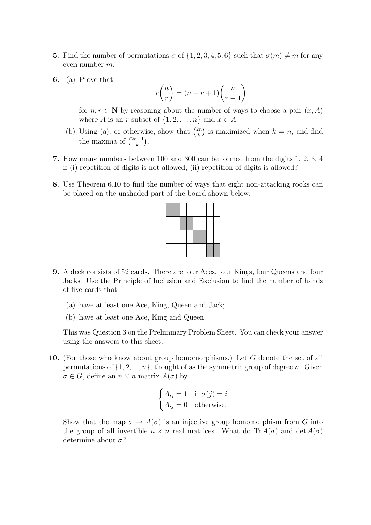- **5.** Find the number of permutations  $\sigma$  of  $\{1, 2, 3, 4, 5, 6\}$  such that  $\sigma(m) \neq m$  for any even number m.
- 6. (a) Prove that

$$
r\binom{n}{r} = (n-r+1)\binom{n}{r-1}
$$

for  $n, r \in \mathbb{N}$  by reasoning about the number of ways to choose a pair  $(x, A)$ where A is an r-subset of  $\{1, 2, \ldots, n\}$  and  $x \in A$ .

- (b) Using (a), or otherwise, show that  $\binom{2n}{k}$  is maximized when  $k = n$ , and find the maxima of  $\binom{2n+1}{k}$ .
- 7. How many numbers between 100 and 300 can be formed from the digits 1, 2, 3, 4 if (i) repetition of digits is not allowed, (ii) repetition of digits is allowed?
- 8. Use Theorem 6.10 to find the number of ways that eight non-attacking rooks can be placed on the unshaded part of the board shown below.

- **9.** A deck consists of 52 cards. There are four Aces, four Kings, four Queens and four of five cards that Jacks. Use the Principle of Inclusion and Exclusion to find the number of hands
	- $(\lambda)$ . Fix a set  $\lambda$  is  $\lambda$  if  $\lambda$  and  $\lambda$  if  $\lambda$  if  $\lambda$  if  $\lambda$  if  $\lambda$  if  $\lambda$  if  $\lambda$  if  $\lambda$  if  $\lambda$  if  $\lambda$  if  $\lambda$  if  $\lambda$  if  $\lambda$  if  $\lambda$  if  $\lambda$  if  $\lambda$  if  $\lambda$  if  $\lambda$  if  $\lambda$  if  $\lambda$  if  $\lambda$  if  $\lambda$  if  $\lambda$ (a) have at least one Ace, King, Queen and Jack;
		- (b) have at least one Ace, King and Queen.

This was Question 3 on the Preliminary Problem Sheet. You can check your answer using the answers to this sheet.

10. (For those who know about group homomorphisms.) Let  $G$  denote the set of all  $\sigma \in G$ , define an  $n \times n$  matrix  $A(\sigma)$  by permutations of  $\{1, 2, ..., n\}$ , thought of as the symmetric group of degree n. Given

$$
\begin{cases} A_{ij} = 1 & \text{if } \sigma(j) = i \\ A_{ij} = 0 & \text{otherwise.} \end{cases}
$$

Show that the map  $\sigma \mapsto A(\sigma)$  is an injective group homomorphism from G into<br>the group of all invertible  $n \times n$  real matrices. What do Tr  $A(\sigma)$  and det  $A(\sigma)$ the group of all invertible  $n \times n$  real matrices. What do Tr  $A(\sigma)$  and det  $A(\sigma)$ determine about  $\sigma$ ?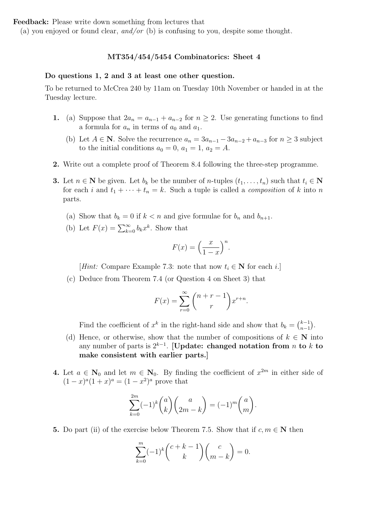(a) you enjoyed or found clear, and/or (b) is confusing to you, despite some thought.

### MT354/454/5454 Combinatorics: Sheet 4

#### Do questions 1, 2 and 3 at least one other question.

To be returned to McCrea 240 by 11am on Tuesday 10th November or handed in at the Tuesday lecture.

- 1. (a) Suppose that  $2a_n = a_{n-1} + a_{n-2}$  for  $n \geq 2$ . Use generating functions to find a formula for  $a_n$  in terms of  $a_0$  and  $a_1$ .
	- (b) Let  $A \in \mathbb{N}$ . Solve the recurrence  $a_n = 3a_{n-1} 3a_{n-2} + a_{n-3}$  for  $n \geq 3$  subject to the initial conditions  $a_0 = 0$ ,  $a_1 = 1$ ,  $a_2 = A$ .
- 2. Write out a complete proof of Theorem 8.4 following the three-step programme.
- **3.** Let  $n \in \mathbb{N}$  be given. Let  $b_k$  be the number of n-tuples  $(t_1, \ldots, t_n)$  such that  $t_i \in \mathbb{N}$ for each i and  $t_1 + \cdots + t_n = k$ . Such a tuple is called a *composition* of k into n parts.
	- (a) Show that  $b_k = 0$  if  $k < n$  and give formulae for  $b_n$  and  $b_{n+1}$ .
	- (b) Let  $F(x) = \sum_{k=0}^{\infty} b_k x^k$ . Show that

$$
F(x) = \left(\frac{x}{1-x}\right)^n.
$$

[Hint: Compare Example 7.3: note that now  $t_i \in \mathbb{N}$  for each i.]

(c) Deduce from Theorem 7.4 (or Question 4 on Sheet 3) that

$$
F(x) = \sum_{r=0}^{\infty} {n+r-1 \choose r} x^{r+n}.
$$

Find the coefficient of  $x^k$  in the right-hand side and show that  $b_k = \binom{k-1}{n-1}$  $n-1$ .

- (d) Hence, or otherwise, show that the number of compositions of  $k \in \mathbb{N}$  into any number of parts is  $2^{k-1}$ . [Update: changed notation from n to k to make consistent with earlier parts.]
- 4. Let  $a \in \mathbb{N}_0$  and let  $m \in \mathbb{N}_0$ . By finding the coefficient of  $x^{2m}$  in either side of  $(1-x)^{a}(1+x)^{a} = (1-x^{2})^{a}$  prove that

$$
\sum_{k=0}^{2m} (-1)^k {a \choose k} {a \choose 2m-k} = (-1)^m {a \choose m}.
$$

5. Do part (ii) of the exercise below Theorem 7.5. Show that if  $c, m \in \mathbb{N}$  then

$$
\sum_{k=0}^{m} (-1)^k {c+k-1 \choose k} {c \choose m-k} = 0.
$$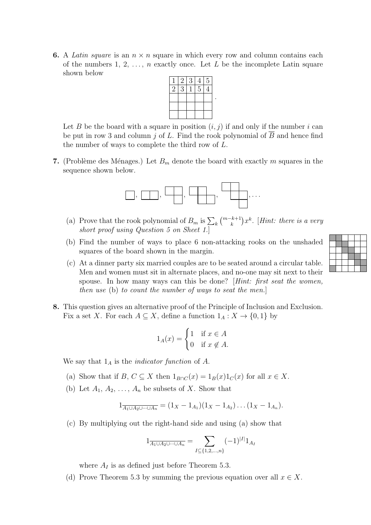**6.** A Latin square is an  $n \times n$  square in which every row and column contains each of the numbers 1, 2,  $\ldots$ , n exactly once. Let L be the incomplete Latin square shown below



Let B be the board with a square in position  $(i, j)$  if and only if the number i can be put in row 3 and column j of L. Find the rook polynomial of  $\overline{B}$  and hence find the number of ways to complete the third row of L.

7. (Problème des Ménages.) Let  $B<sub>m</sub>$  denote the board with exactly m squares in the sequence shown below.



- (a) Prove that the rook polynomial of  $B_m$  is  $\sum_k {m-k+1 \choose k} x^k$ . [Hint: there is a very short proof using Question 5 on Sheet 1.]
- (b) Find the number of ways to place 6 non-attacking rooks on the unshaded squares of the board shown in the margin.
- (c) At a dinner party six married couples are to be seated around a circular table. Men and women must sit in alternate places, and no-one may sit next to their spouse. In how many ways can this be done? *Hint: first seat the women*, then use (b) to count the number of ways to seat the men.]
- 8. This question gives an alternative proof of the Principle of Inclusion and Exclusion. Fix a set X. For each  $A \subseteq X$ , define a function  $1_A : X \to \{0,1\}$  by

$$
1_A(x) = \begin{cases} 1 & \text{if } x \in A \\ 0 & \text{if } x \notin A. \end{cases}
$$

We say that  $1_A$  is the *indicator function* of A.

- (a) Show that if  $B, C \subseteq X$  then  $1_{B \cap C}(x) = 1_B(x)1_C(x)$  for all  $x \in X$ .
- (b) Let  $A_1, A_2, \ldots, A_n$  be subsets of X. Show that

$$
1_{\overline{A_1 \cup A_2 \cup \cdots \cup A_n}} = (1_X - 1_{A_1})(1_X - 1_{A_2}) \dots (1_X - 1_{A_n}).
$$

(c) By multiplying out the right-hand side and using (a) show that

$$
1_{\overline{A_1 \cup A_2 \cup \dots \cup A_n}} = \sum_{I \subseteq \{1, 2, \dots, n\}} (-1)^{|I|} 1_{A_I}
$$

where  $A_I$  is as defined just before Theorem 5.3.

(d) Prove Theorem 5.3 by summing the previous equation over all  $x \in X$ .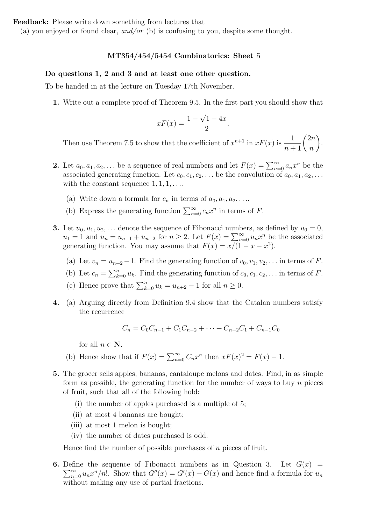(a) you enjoyed or found clear, and/or (b) is confusing to you, despite some thought.

### MT354/454/5454 Combinatorics: Sheet 5

#### Do questions 1, 2 and 3 and at least one other question.

To be handed in at the lecture on Tuesday 17th November.

1. Write out a complete proof of Theorem 9.5. In the first part you should show that

$$
xF(x) = \frac{1 - \sqrt{1 - 4x}}{2}
$$

.

Then use Theorem 7.5 to show that the coefficient of  $x^{n+1}$  in  $xF(x)$  is  $\frac{1}{n+1} {2n \choose n}$  $\boldsymbol{n}$  $\lambda$ .

- 2. Let  $a_0, a_1, a_2, \ldots$  be a sequence of real numbers and let  $F(x) = \sum_{n=0}^{\infty} a_n x^n$  be the associated generating function. Let  $c_0, c_1, c_2, \ldots$  be the convolution of  $a_0, a_1, a_2, \ldots$ with the constant sequence  $1, 1, 1, \ldots$ 
	- (a) Write down a formula for  $c_n$  in terms of  $a_0, a_1, a_2, \ldots$
	- (b) Express the generating function  $\sum_{n=0}^{\infty} c_n x^n$  in terms of F.
- **3.** Let  $u_0, u_1, u_2, \ldots$  denote the sequence of Fibonacci numbers, as defined by  $u_0 = 0$ ,  $u_1 = 1$  and  $u_n = u_{n-1} + u_{n-2}$  for  $n \geq 2$ . Let  $F(x) = \sum_{n=0}^{\infty} u_n x^n$  be the associated generating function. You may assume that  $F(x) = x/(1 - x - x^2)$ .
	- (a) Let  $v_n = u_{n+2}-1$ . Find the generating function of  $v_0, v_1, v_2, \ldots$  in terms of F.
	- (b) Let  $c_n = \sum_{k=0}^n u_k$ . Find the generating function of  $c_0, c_1, c_2, \ldots$  in terms of F.
	- (c) Hence prove that  $\sum_{k=0}^{n} u_k = u_{n+2} 1$  for all  $n \ge 0$ .
- 4. (a) Arguing directly from Definition 9.4 show that the Catalan numbers satisfy the recurrence

$$
C_n = C_0 C_{n-1} + C_1 C_{n-2} + \dots + C_{n-2} C_1 + C_{n-1} C_0
$$

for all  $n \in \mathbb{N}$ .

- (b) Hence show that if  $F(x) = \sum_{n=0}^{\infty} C_n x^n$  then  $xF(x)^2 = F(x) 1$ .
- 5. The grocer sells apples, bananas, cantaloupe melons and dates. Find, in as simple form as possible, the generating function for the number of ways to buy  $n$  pieces of fruit, such that all of the following hold:
	- (i) the number of apples purchased is a multiple of 5;
	- (ii) at most 4 bananas are bought;
	- (iii) at most 1 melon is bought;
	- (iv) the number of dates purchased is odd.

Hence find the number of possible purchases of  $n$  pieces of fruit.

**6.** Define the sequence of Fibonacci numbers as in Question 3. Let  $G(x)$  =  $\sum_{n=0}^{\infty} u_n x^n/n!$ . Show that  $G''(x) = G'(x) + G(x)$  and hence find a formula for  $u_n$ without making any use of partial fractions.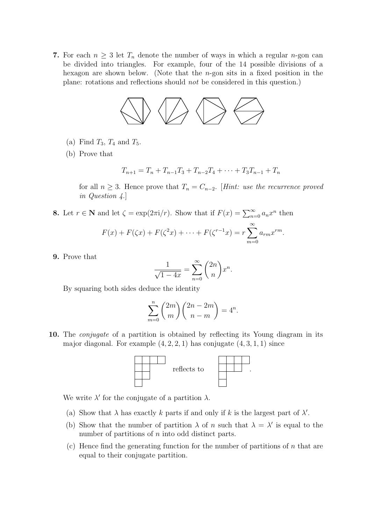7. For each  $n \geq 3$  let  $T_n$  denote the number of ways in which a regular *n*-gon can 1. For each  $n \geq 3$  let  $T_n$  denote the number of ways in which a regular n-gon can<br>be divided into triangles. For example, four of the 14 possible divisions of a hexagon are shown below. (Note that the  $n$ -gon sits in a fixed position in the For each  $n \geq 3$  let  $T_n$  denote the number of ways in which a regular  $n$ -g<br>be divided into triangles. For example, four of the 14 possible division<br>hexagon are shown below. (Note that the *n*-gon sits in a fixed positi be divided into triangles. For example, four or the 14 possible divisions of a plane: rotations and reflections should not be considered in this question.)



- (a) Find  $T_3$ ,  $T_4$  and  $T_5$ .
- (b) Prove that (b) Prove that

$$
T_{n+1} = T_n + T_{n-1}T_3 + T_{n-2}T_4 + \dots + T_3T_{n-1} + T_n
$$

for all  $n \geq 3$ . Hence prove that  $T_n = C_{n-2}$ . [Hint: use the recurrence proved in Question 4.]

**8.** Let  $r \in \mathbb{N}$  and let  $\zeta = \exp(2\pi i/r)$ . Show that if  $F(x) = \sum_{n=0}^{\infty} a_n x^n$  then

$$
F(x) + F(\zeta x) + F(\zeta^2 x) + \dots + F(\zeta^{r-1} x) = r \sum_{m=0}^{\infty} a_{rm} x^{rm}.
$$

9. Prove that

$$
\frac{1}{\sqrt{1-4x}} = \sum_{n=0}^{\infty} \binom{2n}{n} x^n.
$$

By squaring both sides deduce the identity

$$
\sum_{m=0}^{n} {2m \choose m} {2n-2m \choose n-m} = 4^n.
$$

10. The *conjugate* of a partition is obtained by reflecting its Young diagram in its major diagonal. For example  $(4, 2, 2, 1)$  has conjugate  $(4, 3, 1, 1)$  since



We write  $\lambda'$  for the conjugate of a partition  $\lambda$ .

- (a) Show that  $\lambda$  has exactly k parts if and only if k is the largest part of  $\lambda'$ .
- (b) Show that the number of partition  $\lambda$  of n such that  $\lambda = \lambda'$  is equal to the number of partitions of  $n$  into odd distinct parts.
- (c) Hence find the generating function for the number of partitions of  $n$  that are equal to their conjugate partition.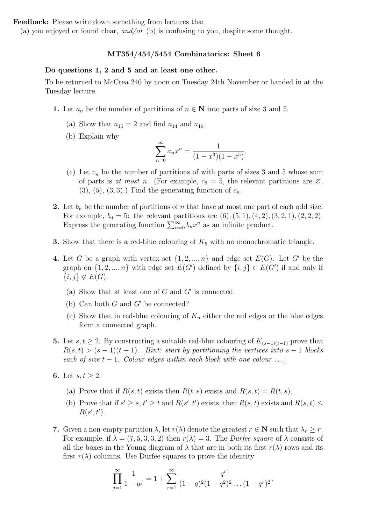(a) you enjoyed or found clear, and/or (b) is confusing to you, despite some thought.

#### MT354/454/5454 Combinatorics: Sheet 6

### Do questions 1, 2 and 5 and at least one other.

To be returned to McCrea 240 by noon on Tuesday 24th November or handed in at the Tuesday lecture.

- 1. Let  $a_n$  be the number of partitions of  $n \in \mathbb{N}$  into parts of size 3 and 5.
	- (a) Show that  $a_{15} = 2$  and find  $a_{14}$  and  $a_{16}$ .
	- (b) Explain why

$$
\sum_{n=0}^{\infty} a_n x^n = \frac{1}{(1-x^3)(1-x^5)}.
$$

- (c) Let  $c_n$  be the number of partitions of with parts of sizes 3 and 5 whose sum of parts is at most n. (For example,  $c_6 = 5$ , the relevant partitions are  $\varnothing$ ,  $(3), (5), (3, 3).$  Find the generating function of  $c_n$ .
- 2. Let  $b_n$  be the number of partitions of n that have at most one part of each odd size. For example,  $b_6 = 5$ : the relevant partitions are  $(6)$ ,  $(5, 1)$ ,  $(4, 2)$ ,  $(3, 2, 1)$ ,  $(2, 2, 2)$ . Express the generating function  $\sum_{n=0}^{\infty} b_n x^n$  as an infinite product.
- **3.** Show that there is a red-blue colouring of  $K_5$  with no monochromatic triangle.
- 4. Let G be a graph with vertex set  $\{1, 2, ..., n\}$  and edge set  $E(G)$ . Let G' be the graph on  $\{1, 2, ..., n\}$  with edge set  $E(G')$  defined by  $\{i, j\} \in E(G')$  if and only if  ${i, j} \notin E(G)$ .
	- (a) Show that at least one of  $G$  and  $G'$  is connected.
	- (b) Can both  $G$  and  $G'$  be connected?
	- (c) Show that in red-blue colouring of  $K_n$  either the red edges or the blue edges form a connected graph.
- **5.** Let  $s, t \geq 2$ . By constructing a suitable red-blue colouring of  $K_{(s-1)(t-1)}$  prove that  $R(s,t) > (s-1)(t-1)$ . [Hint: start by partitioning the vertices into  $s-1$  blocks each of size  $t - 1$ . Colour edges within each block with one colour ...
- 6. Let  $s, t \geq 2$ .
	- (a) Prove that if  $R(s, t)$  exists then  $R(t, s)$  exists and  $R(s, t) = R(t, s)$ .
	- (b) Prove that if  $s' \geq s, t' \geq t$  and  $R(s', t')$  exists, then  $R(s, t)$  exists and  $R(s, t) \leq$  $R(s',t').$
- 7. Given a non-empty partition  $\lambda$ , let  $r(\lambda)$  denote the greatest  $r \in \mathbb{N}$  such that  $\lambda_r \geq r$ . For example, if  $\lambda = (7, 5, 3, 3, 2)$  then  $r(\lambda) = 3$ . The *Durfee square* of  $\lambda$  consists of all the boxes in the Young diagram of  $\lambda$  that are in both its first  $r(\lambda)$  rows and its first  $r(\lambda)$  columns. Use Durfee squares to prove the identity

$$
\prod_{j=1}^{\infty} \frac{1}{1-q^j} = 1 + \sum_{r=1}^{\infty} \frac{q^{r^2}}{(1-q)^2 (1-q^2)^2 \dots (1-q^r)^2}.
$$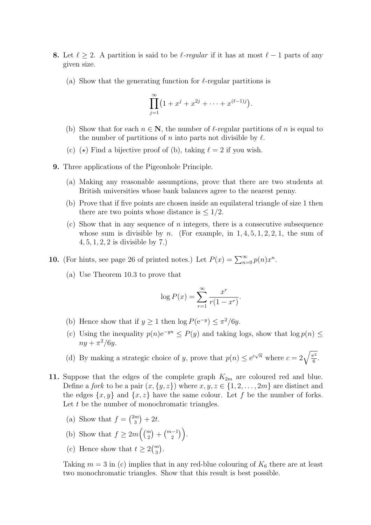- 8. Let  $\ell \geq 2$ . A partition is said to be  $\ell$ -regular if it has at most  $\ell 1$  parts of any given size.
	- (a) Show that the generating function for  $\ell$ -regular partitions is

$$
\prod_{j=1}^{\infty} (1 + x^j + x^{2j} + \dots + x^{(\ell-1)j}).
$$

- (b) Show that for each  $n \in \mathbb{N}$ , the number of  $\ell$ -regular partitions of n is equal to the number of partitions of n into parts not divisible by  $\ell$ .
- (c) ( $\star$ ) Find a bijective proof of (b), taking  $\ell = 2$  if you wish.
- 9. Three applications of the Pigeonhole Principle.
	- (a) Making any reasonable assumptions, prove that there are two students at British universities whose bank balances agree to the nearest penny.
	- (b) Prove that if five points are chosen inside an equilateral triangle of size 1 then there are two points whose distance is  $\leq 1/2$ .
	- (c) Show that in any sequence of n integers, there is a consecutive subsequence whose sum is divisible by n. (For example, in  $1, 4, 5, 1, 2, 2, 1$ , the sum of 4, 5, 1, 2, 2 is divisible by 7.)
- **10.** (For hints, see page 26 of printed notes.) Let  $P(x) = \sum_{n=0}^{\infty} p(n)x^n$ .
	- (a) Use Theorem 10.3 to prove that

$$
\log P(x) = \sum_{r=1}^{\infty} \frac{x^r}{r(1 - x^r)}.
$$

- (b) Hence show that if  $y \ge 1$  then  $\log P(e^{-y}) \le \pi^2/6y$ .
- (c) Using the inequality  $p(n)e^{-yn} \leq P(y)$  and taking logs, show that  $\log p(n) \leq$  $ny + \pi^2/6y.$
- (d) By making a strategic choice of y, prove that  $p(n) \leq e^{c\sqrt{n}}$  where  $c = 2\sqrt{\frac{\pi^2}{6}}$  $\frac{1}{6}$ .
- 11. Suppose that the edges of the complete graph  $K_{2m}$  are coloured red and blue. Define a *fork* to be a pair  $(x, \{y, z\})$  where  $x, y, z \in \{1, 2, ..., 2m\}$  are distinct and the edges  $\{x, y\}$  and  $\{x, z\}$  have the same colour. Let f be the number of forks. Let  $t$  be the number of monochromatic triangles.
	- (a) Show that  $f = \binom{2m}{3}$  $\binom{m}{3} + 2t.$
	- (b) Show that  $f \geq 2m\left(\binom{m}{2} + \binom{m-1}{2}\right)$ .
	- (c) Hence show that  $t \geq 2\binom{m}{3}$ .

Taking  $m = 3$  in (c) implies that in any red-blue colouring of  $K_6$  there are at least two monochromatic triangles. Show that this result is best possible.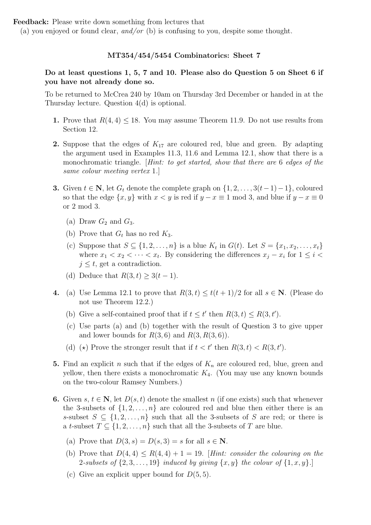(a) you enjoyed or found clear, and/or (b) is confusing to you, despite some thought.

## MT354/454/5454 Combinatorics: Sheet 7

# Do at least questions 1, 5, 7 and 10. Please also do Question 5 on Sheet 6 if you have not already done so.

To be returned to McCrea 240 by 10am on Thursday 3rd December or handed in at the Thursday lecture. Question 4(d) is optional.

- 1. Prove that  $R(4, 4) \leq 18$ . You may assume Theorem 11.9. Do not use results from Section 12.
- **2.** Suppose that the edges of  $K_{17}$  are coloured red, blue and green. By adapting the argument used in Examples 11.3, 11.6 and Lemma 12.1, show that there is a monochromatic triangle. *Hint: to get started, show that there are 6 edges of the* same colour meeting vertex 1.]
- 3. Given  $t \in \mathbb{N}$ , let  $G_t$  denote the complete graph on  $\{1, 2, \ldots, 3(t-1)-1\}$ , coloured so that the edge  $\{x, y\}$  with  $x < y$  is red if  $y - x \equiv 1 \mod 3$ , and blue if  $y - x \equiv 0$ or 2 mod 3.
	- (a) Draw  $G_2$  and  $G_3$ .
	- (b) Prove that  $G_t$  has no red  $K_3$ .
	- (c) Suppose that  $S \subseteq \{1, 2, ..., n\}$  is a blue  $K_t$  in  $G(t)$ . Let  $S = \{x_1, x_2, ..., x_t\}$ where  $x_1 < x_2 < \cdots < x_t$ . By considering the differences  $x_j - x_i$  for  $1 \leq i <$  $j \leq t$ , get a contradiction.
	- (d) Deduce that  $R(3, t) \geq 3(t 1)$ .
- 4. (a) Use Lemma 12.1 to prove that  $R(3, t) \le t(t + 1)/2$  for all  $s \in \mathbb{N}$ . (Please do not use Theorem 12.2.)
	- (b) Give a self-contained proof that if  $t \leq t'$  then  $R(3, t) \leq R(3, t')$ .
	- (c) Use parts (a) and (b) together with the result of Question 3 to give upper and lower bounds for  $R(3, 6)$  and  $R(3, R(3, 6))$ .
	- (d) ( $\star$ ) Prove the stronger result that if  $t < t'$  then  $R(3, t) < R(3, t')$ .
- 5. Find an explicit n such that if the edges of  $K_n$  are coloured red, blue, green and yellow, then there exists a monochromatic  $K_4$ . (You may use any known bounds on the two-colour Ramsey Numbers.)
- 6. Given s,  $t \in \mathbb{N}$ , let  $D(s, t)$  denote the smallest n (if one exists) such that whenever the 3-subsets of  $\{1, 2, \ldots, n\}$  are coloured red and blue then either there is an s-subset  $S \subseteq \{1, 2, ..., n\}$  such that all the 3-subsets of S are red; or there is a t-subset  $T \subseteq \{1, 2, ..., n\}$  such that all the 3-subsets of T are blue.
	- (a) Prove that  $D(3, s) = D(s, 3) = s$  for all  $s \in \mathbb{N}$ .
	- (b) Prove that  $D(4, 4) \leq R(4, 4) + 1 = 19$ . [Hint: consider the colouring on the 2-subsets of  $\{2, 3, \ldots, 19\}$  induced by giving  $\{x, y\}$  the colour of  $\{1, x, y\}$ .
	- (c) Give an explicit upper bound for  $D(5,5)$ .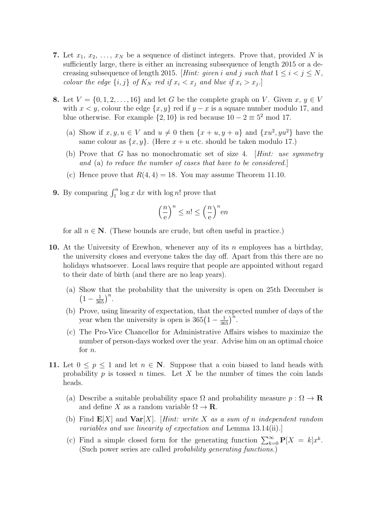- 7. Let  $x_1, x_2, \ldots, x_N$  be a sequence of distinct integers. Prove that, provided N is sufficiently large, there is either an increasing subsequence of length 2015 or a decreasing subsequence of length 2015. [Hint: given i and j such that  $1 \leq i < j \leq N$ , colour the edge  $\{i, j\}$  of  $K_N$  red if  $x_i < x_j$  and blue if  $x_i > x_j$ .
- 8. Let  $V = \{0, 1, 2, \ldots, 16\}$  and let G be the complete graph on V. Given  $x, y \in V$ with  $x < y$ , colour the edge  $\{x, y\}$  red if  $y - x$  is a square number modulo 17, and blue otherwise. For example  $\{2, 10\}$  is red because  $10 - 2 \equiv 5^2 \text{ mod } 17$ .
	- (a) Show if  $x, y, u \in V$  and  $u \neq 0$  then  $\{x + u, y + u\}$  and  $\{xu^2, yu^2\}$  have the same colour as  $\{x, y\}$ . (Here  $x + u$  etc. should be taken modulo 17.)
	- (b) Prove that G has no monochromatic set of size 4. [Hint: use symmetry and (a) to reduce the number of cases that have to be considered.]
	- (c) Hence prove that  $R(4, 4) = 18$ . You may assume Theorem 11.10.
- **9.** By comparing  $\int_1^n \log x \, dx$  with  $\log n!$  prove that

$$
\left(\frac{n}{e}\right)^n \le n! \le \left(\frac{n}{e}\right)^n en
$$

for all  $n \in \mathbb{N}$ . (These bounds are crude, but often useful in practice.)

- 10. At the University of Erewhon, whenever any of its n employees has a birthday, the university closes and everyone takes the day off. Apart from this there are no holidays whatsoever. Local laws require that people are appointed without regard to their date of birth (and there are no leap years).
	- (a) Show that the probability that the university is open on 25th December is  $\left(1-\frac{1}{365}\right)^n$ .
	- (b) Prove, using linearity of expectation, that the expected number of days of the year when the university is open is  $365(1-\frac{1}{365})^n$ .
	- (c) The Pro-Vice Chancellor for Administrative Affairs wishes to maximize the number of person-days worked over the year. Advise him on an optimal choice for  $n$ .
- 11. Let  $0 \leq p \leq 1$  and let  $n \in \mathbb{N}$ . Suppose that a coin biased to land heads with probability  $p$  is tossed  $n$  times. Let  $X$  be the number of times the coin lands heads.
	- (a) Describe a suitable probability space  $\Omega$  and probability measure  $p : \Omega \to \mathbf{R}$ and define X as a random variable  $\Omega \to \mathbf{R}$ .
	- (b) Find  $\mathbf{E}[X]$  and  $\mathbf{Var}[X]$ . [Hint: write X as a sum of n independent random variables and use linearity of expectation and Lemma 13.14(ii).]
	- (c) Find a simple closed form for the generating function  $\sum_{k=0}^{\infty} P[X] = kx^k$ . (Such power series are called *probability generating functions.*)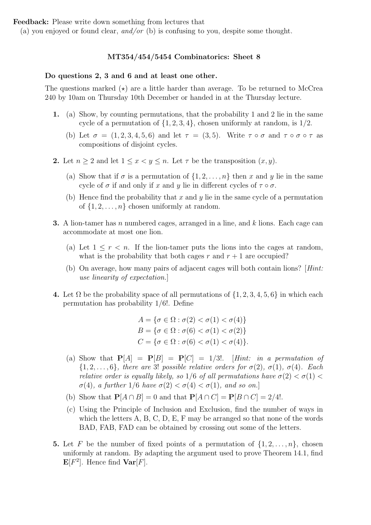(a) you enjoyed or found clear, and/or (b) is confusing to you, despite some thought.

## MT354/454/5454 Combinatorics: Sheet 8

#### Do questions 2, 3 and 6 and at least one other.

The questions marked  $(\star)$  are a little harder than average. To be returned to McCrea 240 by 10am on Thursday 10th December or handed in at the Thursday lecture.

- 1. (a) Show, by counting permutations, that the probability 1 and 2 lie in the same cycle of a permutation of  $\{1, 2, 3, 4\}$ , chosen uniformly at random, is  $1/2$ .
	- (b) Let  $\sigma = (1, 2, 3, 4, 5, 6)$  and let  $\tau = (3, 5)$ . Write  $\tau \circ \sigma$  and  $\tau \circ \sigma \circ \tau$  as compositions of disjoint cycles.
- 2. Let  $n > 2$  and let  $1 \leq x \leq y \leq n$ . Let  $\tau$  be the transposition  $(x, y)$ .
	- (a) Show that if  $\sigma$  is a permutation of  $\{1, 2, \ldots, n\}$  then x and y lie in the same cycle of  $\sigma$  if and only if x and y lie in different cycles of  $\tau \circ \sigma$ .
	- (b) Hence find the probability that x and y lie in the same cycle of a permutation of  $\{1, 2, \ldots, n\}$  chosen uniformly at random.
- **3.** A lion-tamer has n numbered cages, arranged in a line, and  $k$  lions. Each cage can accommodate at most one lion.
	- (a) Let  $1 \leq r \leq n$ . If the lion-tamer puts the lions into the cages at random, what is the probability that both cages r and  $r + 1$  are occupied?
	- (b) On average, how many pairs of adjacent cages will both contain lions? [Hint: use linearity of expectation.]
- 4. Let  $\Omega$  be the probability space of all permutations of  $\{1, 2, 3, 4, 5, 6\}$  in which each permutation has probability 1/6!. Define

$$
A = \{ \sigma \in \Omega : \sigma(2) < \sigma(1) < \sigma(4) \}
$$
\n
$$
B = \{ \sigma \in \Omega : \sigma(6) < \sigma(1) < \sigma(2) \}
$$
\n
$$
C = \{ \sigma \in \Omega : \sigma(6) < \sigma(1) < \sigma(4) \}.
$$

- (a) Show that  $P[A] = P[B] = P[C] = 1/3!$ . [Hint: in a permutation of  $\{1, 2, \ldots, 6\}$ , there are 3! possible relative orders for  $\sigma(2)$ ,  $\sigma(1)$ ,  $\sigma(4)$ . Each relative order is equally likely, so 1/6 of all permutations have  $\sigma(2) < \sigma(1) <$  $\sigma(4)$ , a further  $1/6$  have  $\sigma(2) < \sigma(4) < \sigma(1)$ , and so on.
- (b) Show that  $P[A \cap B] = 0$  and that  $P[A \cap C] = P[B \cap C] = 2/4!$ .
- (c) Using the Principle of Inclusion and Exclusion, find the number of ways in which the letters A, B, C, D, E, F may be arranged so that none of the words BAD, FAB, FAD can be obtained by crossing out some of the letters.
- **5.** Let F be the number of fixed points of a permutation of  $\{1, 2, \ldots, n\}$ , chosen uniformly at random. By adapting the argument used to prove Theorem 14.1, find  $\mathbf{E}[F^2]$ . Hence find  $\mathbf{Var}[F]$ .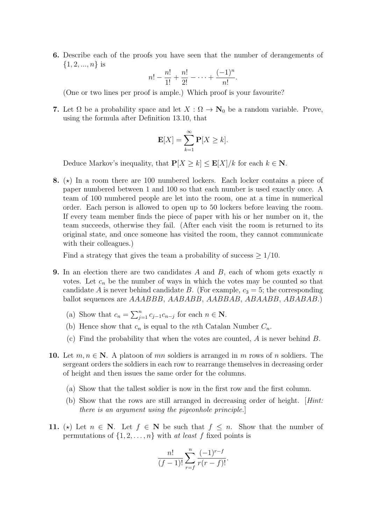6. Describe each of the proofs you have seen that the number of derangements of  $\{1, 2, ..., n\}$  is

$$
n! - \frac{n!}{1!} + \frac{n!}{2!} - \dots + \frac{(-1)^n}{n!}.
$$

(One or two lines per proof is ample.) Which proof is your favourite?

7. Let  $\Omega$  be a probability space and let  $X : \Omega \to \mathbb{N}_0$  be a random variable. Prove, using the formula after Definition 13.10, that

$$
\mathbf{E}[X] = \sum_{k=1}^{\infty} \mathbf{P}[X \ge k].
$$

Deduce Markov's inequality, that  $P[X \ge k] \le E[X]/k$  for each  $k \in \mathbb{N}$ .

8.  $(\star)$  In a room there are 100 numbered lockers. Each locker contains a piece of paper numbered between 1 and 100 so that each number is used exactly once. A team of 100 numbered people are let into the room, one at a time in numerical order. Each person is allowed to open up to 50 lockers before leaving the room. If every team member finds the piece of paper with his or her number on it, the team succeeds, otherwise they fail. (After each visit the room is returned to its original state, and once someone has visited the room, they cannot communicate with their colleagues.)

Find a strategy that gives the team a probability of success  $\geq 1/10$ .

- **9.** In an election there are two candidates  $A$  and  $B$ , each of whom gets exactly  $n$ votes. Let  $c_n$  be the number of ways in which the votes may be counted so that candidate A is never behind candidate B. (For example,  $c_3 = 5$ ; the corresponding ballot sequences are AAABBB, AABABB, AABBAB, ABAABB, ABABAB.)
	- (a) Show that  $c_n = \sum_{j=1}^n c_{j-1}c_{n-j}$  for each  $n \in \mathbb{N}$ .
	- (b) Hence show that  $c_n$  is equal to the *n*th Catalan Number  $C_n$ .
	- (c) Find the probability that when the votes are counted,  $A$  is never behind  $B$ .
- 10. Let  $m, n \in \mathbb{N}$ . A platoon of mn soldiers is arranged in m rows of n soldiers. The sergeant orders the soldiers in each row to rearrange themselves in decreasing order of height and then issues the same order for the columns.
	- (a) Show that the tallest soldier is now in the first row and the first column.
	- (b) Show that the rows are still arranged in decreasing order of height. [Hint: there is an argument using the pigeonhole principle.]
- 11. (\*) Let  $n \in \mathbb{N}$ . Let  $f \in \mathbb{N}$  be such that  $f \leq n$ . Show that the number of permutations of  $\{1, 2, \ldots, n\}$  with at least f fixed points is

$$
\frac{n!}{(f-1)!} \sum_{r=f}^{n} \frac{(-1)^{r-f}}{r(r-f)!}.
$$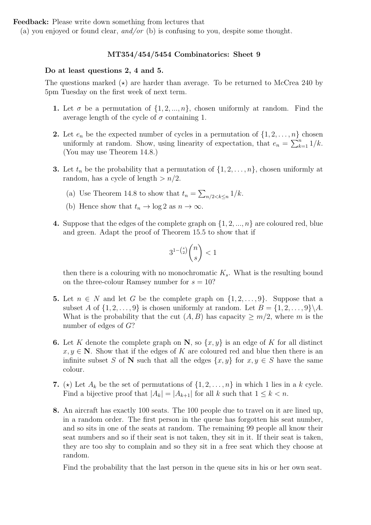(a) you enjoyed or found clear, and/or (b) is confusing to you, despite some thought.

## MT354/454/5454 Combinatorics: Sheet 9

## Do at least questions 2, 4 and 5.

The questions marked  $(\star)$  are harder than average. To be returned to McCrea 240 by 5pm Tuesday on the first week of next term.

- 1. Let  $\sigma$  be a permutation of  $\{1, 2, ..., n\}$ , chosen uniformly at random. Find the average length of the cycle of  $\sigma$  containing 1.
- **2.** Let  $e_n$  be the expected number of cycles in a permutation of  $\{1, 2, \ldots, n\}$  chosen uniformly at random. Show, using linearity of expectation, that  $e_n = \sum_{k=1}^n 1/k$ . (You may use Theorem 14.8.)
- **3.** Let  $t_n$  be the probability that a permutation of  $\{1, 2, \ldots, n\}$ , chosen uniformly at random, has a cycle of length  $> n/2$ .
	- (a) Use Theorem 14.8 to show that  $t_n = \sum_{n/2 < k \leq n} 1/k$ .
	- (b) Hence show that  $t_n \to \log 2$  as  $n \to \infty$ .
- 4. Suppose that the edges of the complete graph on  $\{1, 2, ..., n\}$  are coloured red, blue and green. Adapt the proof of Theorem 15.5 to show that if

$$
3^{1 - \binom{s}{2}} \binom{n}{s} < 1
$$

then there is a colouring with no monochromatic  $K_s$ . What is the resulting bound on the three-colour Ramsey number for  $s = 10$ ?

- 5. Let  $n \in N$  and let G be the complete graph on  $\{1, 2, \ldots, 9\}$ . Suppose that a subset A of  $\{1, 2, \ldots, 9\}$  is chosen uniformly at random. Let  $B = \{1, 2, \ldots, 9\} \backslash A$ . What is the probability that the cut  $(A, B)$  has capacity  $\geq m/2$ , where m is the number of edges of G?
- **6.** Let K denote the complete graph on N, so  $\{x, y\}$  is an edge of K for all distinct  $x, y \in \mathbb{N}$ . Show that if the edges of K are coloured red and blue then there is an infinite subset S of N such that all the edges  $\{x, y\}$  for  $x, y \in S$  have the same colour.
- 7. ( $\star$ ) Let  $A_k$  be the set of permutations of  $\{1, 2, \ldots, n\}$  in which 1 lies in a k cycle. Find a bijective proof that  $|A_k| = |A_{k+1}|$  for all k such that  $1 \leq k < n$ .
- 8. An aircraft has exactly 100 seats. The 100 people due to travel on it are lined up, in a random order. The first person in the queue has forgotten his seat number, and so sits in one of the seats at random. The remaining 99 people all know their seat numbers and so if their seat is not taken, they sit in it. If their seat is taken, they are too shy to complain and so they sit in a free seat which they choose at random.

Find the probability that the last person in the queue sits in his or her own seat.